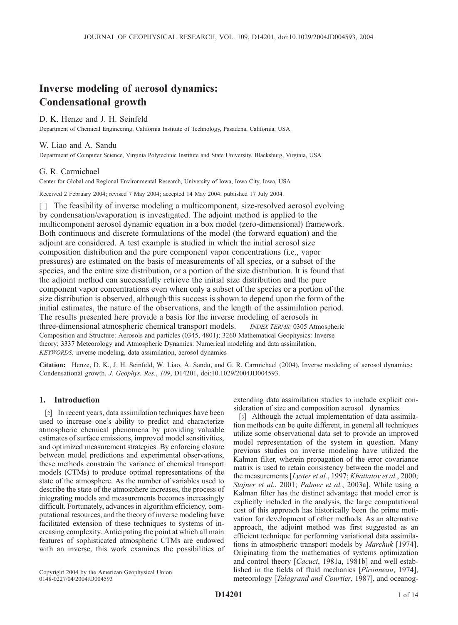# Inverse modeling of aerosol dynamics: Condensational growth

# D. K. Henze and J. H. Seinfeld

Department of Chemical Engineering, California Institute of Technology, Pasadena, California, USA

## W. Liao and A. Sandu

Department of Computer Science, Virginia Polytechnic Institute and State University, Blacksburg, Virginia, USA

## G. R. Carmichael

Center for Global and Regional Environmental Research, University of Iowa, Iowa City, Iowa, USA

Received 2 February 2004; revised 7 May 2004; accepted 14 May 2004; published 17 July 2004.

[1] The feasibility of inverse modeling a multicomponent, size-resolved aerosol evolving by condensation/evaporation is investigated. The adjoint method is applied to the multicomponent aerosol dynamic equation in a box model (zero-dimensional) framework. Both continuous and discrete formulations of the model (the forward equation) and the adjoint are considered. A test example is studied in which the initial aerosol size composition distribution and the pure component vapor concentrations (i.e., vapor pressures) are estimated on the basis of measurements of all species, or a subset of the species, and the entire size distribution, or a portion of the size distribution. It is found that the adjoint method can successfully retrieve the initial size distribution and the pure component vapor concentrations even when only a subset of the species or a portion of the size distribution is observed, although this success is shown to depend upon the form of the initial estimates, the nature of the observations, and the length of the assimilation period. The results presented here provide a basis for the inverse modeling of aerosols in three-dimensional atmospheric chemical transport models. *INDEX TERMS:* 0305 Atmospheric Composition and Structure: Aerosols and particles (0345, 4801); 3260 Mathematical Geophysics: Inverse theory; 3337 Meteorology and Atmospheric Dynamics: Numerical modeling and data assimilation; KEYWORDS: inverse modeling, data assimilation, aerosol dynamics

Citation: Henze, D. K., J. H. Seinfeld, W. Liao, A. Sandu, and G. R. Carmichael (2004), Inverse modeling of aerosol dynamics: Condensational growth, J. Geophys. Res., 109, D14201, doi:10.1029/2004JD004593.

## 1. Introduction

[2] In recent years, data assimilation techniques have been used to increase one's ability to predict and characterize atmospheric chemical phenomena by providing valuable estimates of surface emissions, improved model sensitivities, and optimized measurement strategies. By enforcing closure between model predictions and experimental observations, these methods constrain the variance of chemical transport models (CTMs) to produce optimal representations of the state of the atmosphere. As the number of variables used to describe the state of the atmosphere increases, the process of integrating models and measurements becomes increasingly difficult. Fortunately, advances in algorithm efficiency, computational resources, and the theory of inverse modeling have facilitated extension of these techniques to systems of increasing complexity. Anticipating the point at which all main features of sophisticated atmospheric CTMs are endowed with an inverse, this work examines the possibilities of extending data assimilation studies to include explicit consideration of size and composition aerosol dynamics.

[3] Although the actual implementation of data assimilation methods can be quite different, in general all techniques utilize some observational data set to provide an improved model representation of the system in question. Many previous studies on inverse modeling have utilized the Kalman filter, wherein propagation of the error covariance matrix is used to retain consistency between the model and the measurements [Lyster et al., 1997; Khattatov et al., 2000; Stajner et al., 2001; Palmer et al., 2003a]. While using a Kalman filter has the distinct advantage that model error is explicitly included in the analysis, the large computational cost of this approach has historically been the prime motivation for development of other methods. As an alternative approach, the adjoint method was first suggested as an efficient technique for performing variational data assimilations in atmospheric transport models by Marchuk [1974]. Originating from the mathematics of systems optimization and control theory [Cacuci, 1981a, 1981b] and well established in the fields of fluid mechanics [Pironneau, 1974], meteorology [Talagrand and Courtier, 1987], and oceanog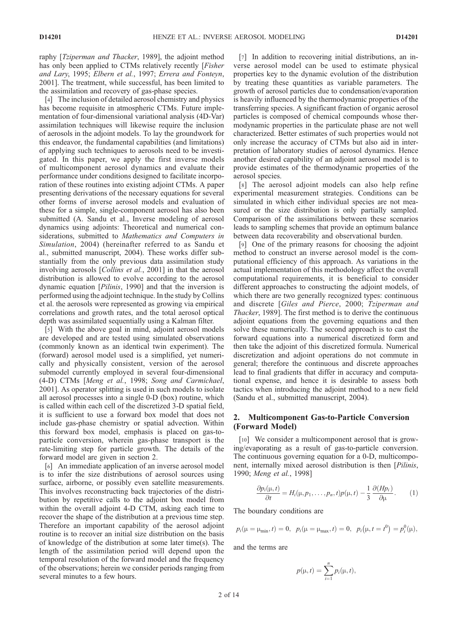raphy [Tziperman and Thacker, 1989], the adjoint method has only been applied to CTMs relatively recently [Fisher and Lary, 1995; Elbern et al., 1997; Errera and Fonteyn, 2001]. The treatment, while successful, has been limited to the assimilation and recovery of gas-phase species.

[4] The inclusion of detailed aerosol chemistry and physics has become requisite in atmospheric CTMs. Future implementation of four-dimensional variational analysis (4D-Var) assimilation techniques will likewise require the inclusion of aerosols in the adjoint models. To lay the groundwork for this endeavor, the fundamental capabilities (and limitations) of applying such techniques to aerosols need to be investigated. In this paper, we apply the first inverse models of multicomponent aerosol dynamics and evaluate their performance under conditions designed to facilitate incorporation of these routines into existing adjoint CTMs. A paper presenting derivations of the necessary equations for several other forms of inverse aerosol models and evaluation of these for a simple, single-component aerosol has also been submitted (A. Sandu et al., Inverse modeling of aerosol dynamics using adjoints: Theoretical and numerical considerations, submitted to Mathematics and Computers in Simulation, 2004) (hereinafter referred to as Sandu et al., submitted manuscript, 2004). These works differ substantially from the only previous data assimilation study involving aerosols [Collins et al., 2001] in that the aerosol distribution is allowed to evolve according to the aerosol dynamic equation [Pilinis, 1990] and that the inversion is performed using the adjoint technique. In the study by Collins et al. the aerosols were represented as growing via empirical correlations and growth rates, and the total aerosol optical depth was assimilated sequentially using a Kalman filter.

[5] With the above goal in mind, adjoint aerosol models are developed and are tested using simulated observations (commonly known as an identical twin experiment). The (forward) aerosol model used is a simplified, yet numerically and physically consistent, version of the aerosol submodel currently employed in several four-dimensional (4-D) CTMs [Meng et al., 1998; Song and Carmichael, 2001]. As operator splitting is used in such models to isolate all aerosol processes into a single 0-D (box) routine, which is called within each cell of the discretized 3-D spatial field, it is sufficient to use a forward box model that does not include gas-phase chemistry or spatial advection. Within this forward box model, emphasis is placed on gas-toparticle conversion, wherein gas-phase transport is the rate-limiting step for particle growth. The details of the forward model are given in section 2.

[6] An immediate application of an inverse aerosol model is to infer the size distributions of aerosol sources using surface, airborne, or possibly even satellite measurements. This involves reconstructing back trajectories of the distribution by repetitive calls to the adjoint box model from within the overall adjoint 4-D CTM, asking each time to recover the shape of the distribution at a previous time step. Therefore an important capability of the aerosol adjoint routine is to recover an initial size distribution on the basis of knowledge of the distribution at some later time(s). The length of the assimilation period will depend upon the temporal resolution of the forward model and the frequency of the observations; herein we consider periods ranging from several minutes to a few hours.

[7] In addition to recovering initial distributions, an inverse aerosol model can be used to estimate physical properties key to the dynamic evolution of the distribution by treating these quantities as variable parameters. The growth of aerosol particles due to condensation/evaporation is heavily influenced by the thermodynamic properties of the transferring species. A significant fraction of organic aerosol particles is composed of chemical compounds whose thermodynamic properties in the particulate phase are not well characterized. Better estimates of such properties would not only increase the accuracy of CTMs but also aid in interpretation of laboratory studies of aerosol dynamics. Hence another desired capability of an adjoint aerosol model is to provide estimates of the thermodynamic properties of the aerosol species.

[8] The aerosol adjoint models can also help refine experimental measurement strategies. Conditions can be simulated in which either individual species are not measured or the size distribution is only partially sampled. Comparison of the assimilations between these scenarios leads to sampling schemes that provide an optimum balance between data recoverability and observational burden.

[9] One of the primary reasons for choosing the adjoint method to construct an inverse aerosol model is the computational efficiency of this approach. As variations in the actual implementation of this methodology affect the overall computational requirements, it is beneficial to consider different approaches to constructing the adjoint models, of which there are two generally recognized types: continuous and discrete [Giles and Pierce, 2000; Tziperman and Thacker, 1989]. The first method is to derive the continuous adjoint equations from the governing equations and then solve these numerically. The second approach is to cast the forward equations into a numerical discretized form and then take the adjoint of this discretized formula. Numerical discretization and adjoint operations do not commute in general; therefore the continuous and discrete approaches lead to final gradients that differ in accuracy and computational expense, and hence it is desirable to assess both tactics when introducing the adjoint method to a new field (Sandu et al., submitted manuscript, 2004).

# 2. Multicomponent Gas-to-Particle Conversion (Forward Model)

[10] We consider a multicomponent aerosol that is growing/evaporating as a result of gas-to-particle conversion. The continuous governing equation for a 0-D, multicomponent, internally mixed aerosol distribution is then [Pilinis, 1990; Meng et al., 1998]

$$
\frac{\partial p_i(\mu, t)}{\partial t} = H_i(\mu, p_1, \dots, p_n, t) p(\mu, t) - \frac{1}{3} \frac{\partial (H p_i)}{\partial \mu}.
$$
 (1)

The boundary conditions are

$$
p_i(\mu = \mu_{\min}, t) = 0
$$
,  $p_i(\mu = \mu_{\max}, t) = 0$ ,  $p_i(\mu, t = t^0) = p_i^0(\mu)$ ,

and the terms are

$$
p(\mu, t) = \sum_{i=1}^n p_i(\mu, t),
$$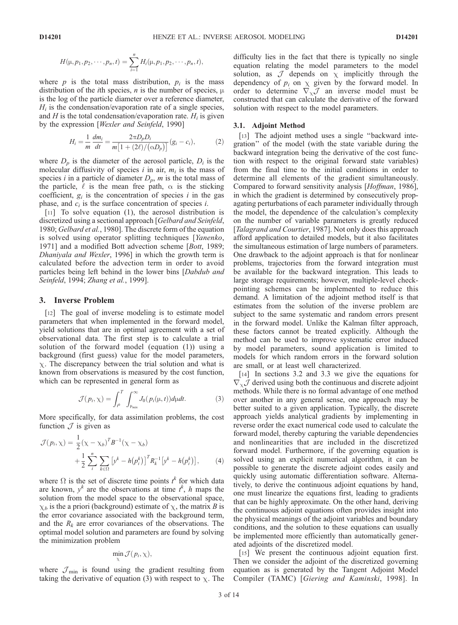$$
H(\mu, p_1, p_2, \cdots, p_n, t) = \sum_{i=1}^n H_i(\mu, p_1, p_2, \cdots, p_n, t),
$$

where  $p$  is the total mass distribution,  $p_i$  is the mass distribution of the *i*th species, *n* is the number of species,  $\mu$ is the log of the particle diameter over a reference diameter,  $H_i$  is the condensation/evaporation rate of a single species, and H is the total condensation/evaporation rate.  $H_i$  is given by the expression [Wexler and Seinfeld, 1990]

$$
H_i = \frac{1}{m} \frac{dm_i}{dt} = \frac{2\pi D_p D_i}{m[1 + (2\ell)/(\alpha D_p)]} (g_i - c_i),
$$
 (2)

where  $D_p$  is the diameter of the aerosol particle,  $D_i$  is the molecular diffusivity of species i in air,  $m_i$  is the mass of species *i* in a particle of diameter  $D_p$ , *m* is the total mass of the particle,  $\ell$  is the mean free path,  $\alpha$  is the sticking coefficient,  $g_i$  is the concentration of species i in the gas phase, and  $c_i$  is the surface concentration of species *i*.

[11] To solve equation (1), the aerosol distribution is discretized using a sectional approach [Gelbard and Seinfeld, 1980; Gelbard et al., 1980]. The discrete form of the equation is solved using operator splitting techniques [Yanenko, 1971] and a modified Bott advection scheme [Bott, 1989; Dhaniyala and Wexler, 1996] in which the growth term is calculated before the advection term in order to avoid particles being left behind in the lower bins [Dabdub and Seinfeld, 1994; Zhang et al., 1999].

# 3. Inverse Problem

[12] The goal of inverse modeling is to estimate model parameters that when implemented in the forward model, yield solutions that are in optimal agreement with a set of observational data. The first step is to calculate a trial solution of the forward model (equation (1)) using a background (first guess) value for the model parameters,  $\chi$ . The discrepancy between the trial solution and what is known from observations is measured by the cost function, which can be represented in general form as

$$
\mathcal{J}(p_i, \chi) = \int_{t^0}^T \int_{\mu_{min}}^{\infty} J_0(p_i(\mu, t)) d\mu dt.
$$
 (3)

More specifically, for data assimilation problems, the cost function  $\mathcal J$  is given as

$$
\mathcal{J}(p_i, \chi) = \frac{1}{2} (\chi - \chi_b)^T B^{-1} (\chi - \chi_b) + \frac{1}{2} \sum_{i}^{n} \sum_{k \in \Omega} \left[ y^k - h(p_i^k) \right]^T R_k^{-1} \left[ y^k - h(p_i^k) \right],
$$
 (4)

where  $\Omega$  is the set of discrete time points  $t^k$  for which data are known,  $y^k$  are the observations at time  $t^k$ , h maps the solution from the model space to the observational space,  $\chi_b$  is the a priori (background) estimate of  $\chi$ , the matrix B is the error covariance associated with the background term, and the  $R_k$  are error covariances of the observations. The optimal model solution and parameters are found by solving the minimization problem

$$
\min_{\chi} \mathcal{J}(p_i, \chi),
$$

where  $\mathcal{J}_{\text{min}}$  is found using the gradient resulting from taking the derivative of equation (3) with respect to  $\chi$ . The difficulty lies in the fact that there is typically no single equation relating the model parameters to the model solution, as  $\mathcal J$  depends on  $\chi$  implicitly through the dependency of  $p_i$  on  $\chi$  given by the forward model. In order to determine  $\nabla_{\chi} \mathcal{J}$  an inverse model must be constructed that can calculate the derivative of the forward solution with respect to the model parameters.

## 3.1. Adjoint Method

[13] The adjoint method uses a single "backward integration'' of the model (with the state variable during the backward integration being the derivative of the cost function with respect to the original forward state variables) from the final time to the initial conditions in order to determine all elements of the gradient simultaneously. Compared to forward sensitivity analysis [*Hoffman*, 1986], in which the gradient is determined by consecutively propagating perturbations of each parameter individually through the model, the dependence of the calculation's complexity on the number of variable parameters is greatly reduced [*Talagrand and Courtier*, 1987]. Not only does this approach afford application to detailed models, but it also facilitates the simultaneous estimation of large numbers of parameters. One drawback to the adjoint approach is that for nonlinear problems, trajectories from the forward integration must be available for the backward integration. This leads to large storage requirements; however, multiple-level checkpointing schemes can be implemented to reduce this demand. A limitation of the adjoint method itself is that estimates from the solution of the inverse problem are subject to the same systematic and random errors present in the forward model. Unlike the Kalman filter approach, these factors cannot be treated explicitly. Although the method can be used to improve systematic error induced by model parameters, sound application is limited to models for which random errors in the forward solution are small, or at least well characterized.

[14] In sections 3.2 and 3.3 we give the equations for  $\nabla_{\mathbf{x}} \mathcal{J}$  derived using both the continuous and discrete adjoint methods. While there is no formal advantage of one method over another in any general sense, one approach may be better suited to a given application. Typically, the discrete approach yields analytical gradients by implementing in reverse order the exact numerical code used to calculate the forward model, thereby capturing the variable dependencies and nonlinearities that are included in the discretized forward model. Furthermore, if the governing equation is solved using an explicit numerical algorithm, it can be possible to generate the discrete adjoint codes easily and quickly using automatic differentiation software. Alternatively, to derive the continuous adjoint equations by hand, one must linearize the equations first, leading to gradients that can be highly approximate. On the other hand, deriving the continuous adjoint equations often provides insight into the physical meanings of the adjoint variables and boundary conditions, and the solution to these equations can usually be implemented more efficiently than automatically generated adjoints of the discretized model.

[15] We present the continuous adjoint equation first. Then we consider the adjoint of the discretized governing equation as is generated by the Tangent Adjoint Model Compiler (TAMC) [Giering and Kaminski, 1998]. In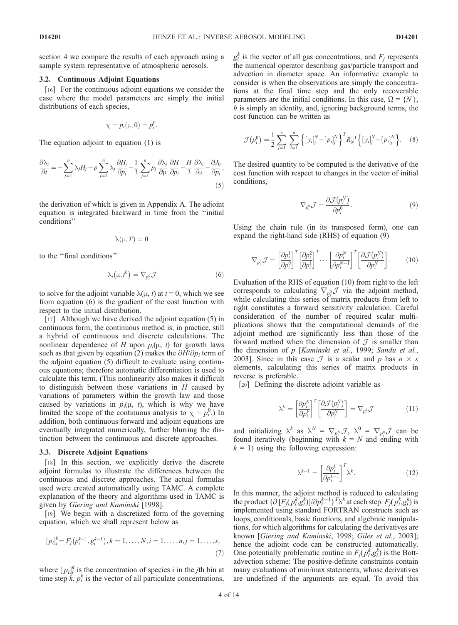section 4 we compare the results of each approach using a sample system representative of atmospheric aerosols.

# 3.2. Continuous Adjoint Equations

[16] For the continuous adjoint equations we consider the case where the model parameters are simply the initial distributions of each species,

$$
\chi = p_i(\mu, 0) = p_i^0.
$$

The equation adjoint to equation (1) is

$$
\frac{\partial \lambda_i}{\partial t} = -\sum_{j=1}^n \lambda_j H_j - p \sum_{j=1}^n \lambda_j \frac{\partial H_j}{\partial p_i} - \frac{1}{3} \sum_{j=1}^n p_j \frac{\partial \lambda_j}{\partial \mu} \frac{\partial H}{\partial p_i} - \frac{H}{3} \frac{\partial \lambda_i}{\partial \mu} - \frac{\partial J_0}{\partial p_i},\tag{5}
$$

the derivation of which is given in Appendix A. The adjoint equation is integrated backward in time from the ''initial conditions''

$$
\lambda(\mu,T)=0
$$

to the ''final conditions''

$$
\lambda_i(\mu, t^0) = \nabla_{p_i^0} \mathcal{J}
$$
 (6)

to solve for the adjoint variable  $\lambda(\mu, t)$  at  $t = 0$ , which we see from equation (6) is the gradient of the cost function with respect to the initial distribution.

[17] Although we have derived the adjoint equation (5) in continuous form, the continuous method is, in practice, still a hybrid of continuous and discrete calculations. The nonlinear dependence of H upon  $p_i(\mu, t)$  for growth laws such as that given by equation (2) makes the  $\partial H/\partial p_i$  term of the adjoint equation (5) difficult to evaluate using continuous equations; therefore automatic differentiation is used to calculate this term. (This nonlinearity also makes it difficult to distinguish between those variations in  $H$  caused by variations of parameters within the growth law and those caused by variations in  $p_i(\mu, t)$ , which is why we have limited the scope of the continuous analysis to  $\chi = p_i^0$ .) In addition, both continuous forward and adjoint equations are eventually integrated numerically, further blurring the distinction between the continuous and discrete approaches.

#### 3.3. Discrete Adjoint Equations

[18] In this section, we explicitly derive the discrete adjoint formulas to illustrate the differences between the continuous and discrete approaches. The actual formulas used were created automatically using TAMC. A complete explanation of the theory and algorithms used in TAMC is given by Giering and Kaminski [1998].

[19] We begin with a discretized form of the governing equation, which we shall represent below as

$$
[p_i]_j^k = F_j(p_i^{k-1}, g_i^{k-1}), k = 1, \dots, N, i = 1, \dots, n, j = 1, \dots, s,
$$
\n(7)

where  $[p_i]_j^k$  is the concentration of species *i* in the *j*th bin at time step  $\vec{k}$ ,  $p_i^k$  is the vector of all particulate concentrations,

 $g_i^k$  is the vector of all gas concentrations, and  $F_j$  represents the numerical operator describing gas/particle transport and advection in diameter space. An informative example to consider is when the observations are simply the concentrations at the final time step and the only recoverable parameters are the initial conditions. In this case,  $\Omega = \{N\},\$  $h$  is simply an identity, and, ignoring background terms, the cost function can be written as

$$
\mathcal{J}(p_i^0) = \frac{1}{2} \sum_{j=1}^s \sum_{i=1}^n \left\{ [y_i]_j^N - [p_i]_j^N \right\}^T R_N^{-1} \left\{ [y_i]_j^N - [p_i]_j^N \right\}.
$$
 (8)

The desired quantity to be computed is the derivative of the cost function with respect to changes in the vector of initial conditions,

$$
\nabla_{p_i^0} \mathcal{J} = \frac{\partial \mathcal{J}(p_i^N)}{\partial p_i^0}.
$$
\n(9)

Using the chain rule (in its transposed form), one can expand the right-hand side (RHS) of equation (9)

$$
\nabla_{p_i^0} \mathcal{J} = \left[ \frac{\partial p_i^1}{\partial p_i^0} \right]^T \left[ \frac{\partial p_i^2}{\partial p_i^1} \right]^T \cdots \left[ \frac{\partial p_i^N}{\partial p_i^{N-1}} \right]^T \left[ \frac{\partial \mathcal{J}(p_i^N)}{\partial p_i^N} \right]. \tag{10}
$$

Evaluation of the RHS of equation (10) from right to the left corresponds to calculating  $\nabla_{p_i^0} \mathcal{J}$  via the adjoint method, while calculating this series of matrix products from left to right constitutes a forward sensitivity calculation. Careful consideration of the number of required scalar multiplications shows that the computational demands of the adjoint method are significantly less than those of the forward method when the dimension of  $\mathcal J$  is smaller than the dimension of p [Kaminski et al., 1999; Sandu et al., 2003]. Since in this case  $\mathcal J$  is a scalar and p has  $n \times s$ elements, calculating this series of matrix products in reverse is preferable.

[20] Defining the discrete adjoint variable as

$$
\lambda^k = \left[\frac{\partial p_i^N}{\partial p_i^k}\right]^T \left[\frac{\partial \mathcal{J}(p_i^N)}{\partial p_i^N}\right] = \nabla_{p_i^k} \mathcal{J}
$$
 (11)

and initializing  $\lambda^k$  as  $\lambda^N = \nabla_{p_i^N} \mathcal{J}, \ \lambda^0 = \nabla_{p_i^0} \mathcal{J}$  can be found iteratively (beginning with  $k = N$  and ending with  $k = 1$ ) using the following expression:

$$
\lambda^{k-1} = \left[\frac{\partial p_i^k}{\partial p_i^{k-1}}\right]^T \lambda^k.
$$
 (12)

In this manner, the adjoint method is reduced to calculating the product  $\{\partial [F_j(p_i^k, g_i^k)]/\partial p_i^{k-1}\}^T \lambda^k$  at each step.  $F_j(p_i^k, g_i^k)$  is implemented using standard FORTRAN constructs such as loops, conditionals, basic functions, and algebraic manipulations, for which algorithms for calculating the derivatives are known [Giering and Kaminski, 1998; Giles et al., 2003]; hence the adjoint code can be constructed automatically. One potentially problematic routine in  $F_j(p_i^k, g_i^k)$  is the Bottadvection scheme: The positive-definite constraints contain many evaluations of min/max statements, whose derivatives are undefined if the arguments are equal. To avoid this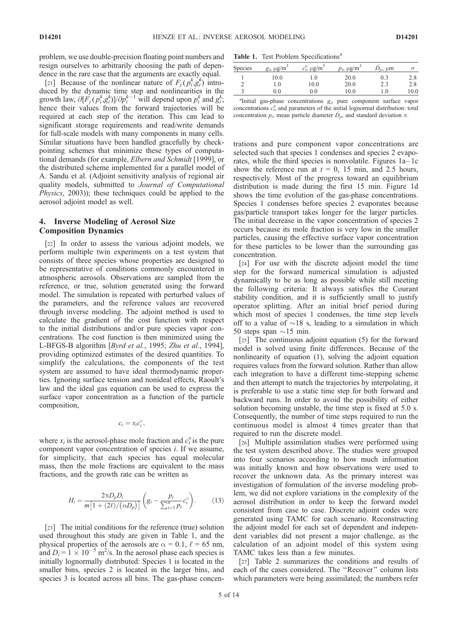problem, we use double-precision floating point numbers and resign ourselves to arbitrarily choosing the path of dependence in the rare case that the arguments are exactly equal.

[21] Because of the nonlinear nature of  $F_j(p_i^k, g_i^k)$  introduced by the dynamic time step and nonlinearities in the growth law,  $\partial [F_j(p_i^k, g_i^k)] / \partial p_i^{k-1}$  will depend upon  $p_i^k$  and  $g_i^k$ ; hence their values from the forward trajectories will be required at each step of the iteration. This can lead to significant storage requirements and read/write demands for full-scale models with many components in many cells. Similar situations have been handled gracefully by checkpointing schemes that minimize these types of computational demands (for example, Elbern and Schmidt [1999], or the distributed scheme implemented for a parallel model of A. Sandu et al. (Adjoint sensitivity analysis of regional air quality models, submitted to Journal of Computational Physics, 2003)); these techniques could be applied to the aerosol adjoint model as well.

# 4. Inverse Modeling of Aerosol Size Composition Dynamics

[22] In order to assess the various adjoint models, we perform multiple twin experiments on a test system that consists of three species whose properties are designed to be representative of conditions commonly encountered in atmospheric aerosols. Observations are sampled from the reference, or true, solution generated using the forward model. The simulation is repeated with perturbed values of the parameters, and the reference values are recovered through inverse modeling. The adjoint method is used to calculate the gradient of the cost function with respect to the initial distributions and/or pure species vapor concentrations. The cost function is then minimized using the L-BFGS-B algorithm [Byrd et al., 1995; Zhu et al., 1994], providing optimized estimates of the desired quantities. To simplify the calculations, the components of the test system are assumed to have ideal thermodynamic properties. Ignoring surface tension and nonideal effects, Raoult's law and the ideal gas equation can be used to express the surface vapor concentration as a function of the particle composition,

$$
c_i = x_i c_i^{\circ},
$$

where  $x_i$  is the aerosol-phase mole fraction and  $c_i^{\circ}$  is the pure component vapor concentration of species i. If we assume, for simplicity, that each species has equal molecular mass, then the mole fractions are equivalent to the mass fractions, and the growth rate can be written as

$$
H_i = \frac{2\pi D_p D_i}{m\left[1 + \frac{2\ell}{\rho}\right] \left(\omega D_p\right)} \left(g_i - \frac{p_i}{\sum_{i=1}^n p_i} c_i^\circ\right). \tag{13}
$$

[23] The initial conditions for the reference (true) solution used throughout this study are given in Table 1, and the physical properties of the aerosols are  $\alpha = 0.1$ ,  $\ell = 65$  nm, and  $D_i = 1 \times 10^{-5}$  m<sup>2</sup>/s. In the aerosol phase each species is initially lognormally distributed: Species 1 is located in the smaller bins, species 2 is located in the larger bins, and species 3 is located across all bins. The gas-phase concen-

Table 1. Test Problem Specifications<sup>a</sup>

| Species | $g_i$ , $\mu$ g/m <sup>3</sup> | $c_i^{\circ}$ , $\mu$ g/m <sup>3</sup> | $p_i$ , $\mu$ g/m <sup>3</sup> | $D_n$ , $\mu$ m |      |
|---------|--------------------------------|----------------------------------------|--------------------------------|-----------------|------|
|         | 10.0                           | 1.0                                    | 20.0                           | 0.3             | 2.8  |
|         | 1.0                            | 10.0                                   | 20.0                           | 2.3             | 2.8  |
|         | $0.0\,$                        | $_{\rm 0.0}$                           | 10.0                           | 1.0             | 10.0 |
|         |                                |                                        |                                |                 |      |

|  | <sup>a</sup> Initial gas-phase concentrations $g_i$ , pure component surface vapor           |  |  |  |
|--|----------------------------------------------------------------------------------------------|--|--|--|
|  | concentrations $c_i^{\circ}$ and parameters of the initial lognormal distribution: total     |  |  |  |
|  | concentration $p_i$ , mean particle diameter $\bar{D}_n$ , and standard deviation $\sigma$ . |  |  |  |

trations and pure component vapor concentrations are selected such that species 1 condenses and species 2 evaporates, while the third species is nonvolatile. Figures  $1a-1c$ show the reference run at  $t = 0$ , 15 min, and 2.5 hours, respectively. Most of the progress toward an equilibrium distribution is made during the first 15 min. Figure 1d shows the time evolution of the gas-phase concentrations. Species 1 condenses before species 2 evaporates because gas/particle transport takes longer for the larger particles. The initial decrease in the vapor concentration of species 2 occurs because its mole fraction is very low in the smaller particles, causing the effective surface vapor concentration for these particles to be lower than the surrounding gas concentration.

[24] For use with the discrete adjoint model the time step for the forward numerical simulation is adjusted dynamically to be as long as possible while still meeting the following criteria: It always satisfies the Courant stability condition, and it is sufficiently small to justify operator splitting. After an initial brief period during which most of species 1 condenses, the time step levels off to a value of  $\sim$ 18 s, leading to a simulation in which 50 steps span  $\sim$ 15 min.

[25] The continuous adjoint equation (5) for the forward model is solved using finite differences. Because of the nonlinearity of equation (1), solving the adjoint equation requires values from the forward solution. Rather than allow each integration to have a different time-stepping scheme and then attempt to match the trajectories by interpolating, it is preferable to use a static time step for both forward and backward runs. In order to avoid the possibility of either solution becoming unstable, the time step is fixed at 5.0 s. Consequently, the number of time steps required to run the continuous model is almost 4 times greater than that required to run the discrete model.

[26] Multiple assimilation studies were performed using the test system described above. The studies were grouped into four scenarios according to how much information was initially known and how observations were used to recover the unknown data. As the primary interest was investigation of formulation of the inverse modeling problem, we did not explore variations in the complexity of the aerosol distribution in order to keep the forward model consistent from case to case. Discrete adjoint codes were generated using TAMC for each scenario. Reconstructing the adjoint model for each set of dependent and independent variables did not present a major challenge, as the calculation of an adjoint model of this system using TAMC takes less than a few minutes.

[27] Table 2 summarizes the conditions and results of each of the cases considered. The ''Recover'' column lists which parameters were being assimilated; the numbers refer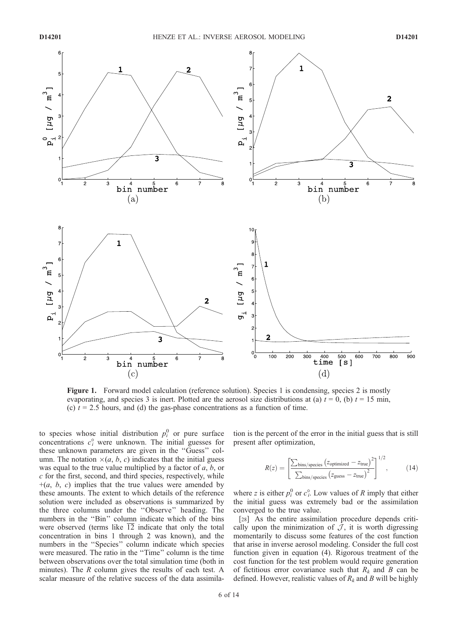

Figure 1. Forward model calculation (reference solution). Species 1 is condensing, species 2 is mostly evaporating, and species 3 is inert. Plotted are the aerosol size distributions at (a)  $t = 0$ , (b)  $t = 15$  min, (c)  $t = 2.5$  hours, and (d) the gas-phase concentrations as a function of time.

to species whose initial distribution  $p_i^0$  or pure surface concentrations  $c_i^{\circ}$  were unknown. The initial guesses for these unknown parameters are given in the ''Guess'' column. The notation  $\times$ (*a*, *b*, *c*) indicates that the initial guess was equal to the true value multiplied by a factor of  $a, b$ , or c for the first, second, and third species, respectively, while  $+(a, b, c)$  implies that the true values were amended by these amounts. The extent to which details of the reference solution were included as observations is summarized by the three columns under the ''Observe'' heading. The numbers in the ''Bin'' column indicate which of the bins were observed (terms like  $\overline{12}$  indicate that only the total concentration in bins 1 through 2 was known), and the numbers in the ''Species'' column indicate which species were measured. The ratio in the ''Time'' column is the time between observations over the total simulation time (both in minutes). The  $R$  column gives the results of each test. A scalar measure of the relative success of the data assimila-

tion is the percent of the error in the initial guess that is still present after optimization,

$$
R(z) = \left[ \frac{\sum_{\text{bins}} (\text{species } (z_{\text{optimized}} - z_{\text{true}})^2}{\sum_{\text{bins}} (\text{species } (z_{\text{guess}} - z_{\text{true}})^2} \right]^{1/2}, \quad (14)
$$

where z is either  $p_i^0$  or  $c_i^0$ . Low values of R imply that either the initial guess was extremely bad or the assimilation converged to the true value.

[28] As the entire assimilation procedure depends critically upon the minimization of  $J$ , it is worth digressing momentarily to discuss some features of the cost function that arise in inverse aerosol modeling. Consider the full cost function given in equation (4). Rigorous treatment of the cost function for the test problem would require generation of fictitious error covariance such that  $R_k$  and B can be defined. However, realistic values of  $R_k$  and B will be highly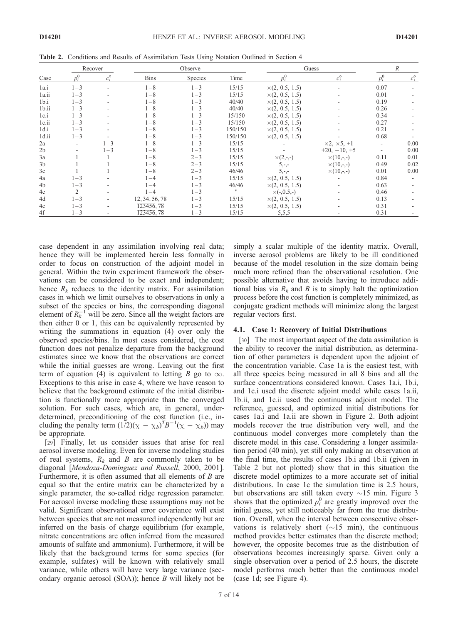Table 2. Conditions and Results of Assimilation Tests Using Notation Outlined in Section 4

|                  |         | Recover       |                                                              | Observe |         |                        | Guess                    |      | R             |  |
|------------------|---------|---------------|--------------------------------------------------------------|---------|---------|------------------------|--------------------------|------|---------------|--|
| Case             |         | $c_i^{\circ}$ | <b>Bins</b>                                                  | Species | Time    |                        | $c_i^{\circ}$            |      | $c_i^{\circ}$ |  |
| 1a.i             | $1 - 3$ |               | $1 - 8$                                                      | $1 - 3$ | 15/15   | $\times$ (2, 0.5, 1.5) |                          | 0.07 |               |  |
| 1a.ii            | $1 - 3$ |               | $1 - 8$                                                      | $1 - 3$ | 15/15   | $\times$ (2, 0.5, 1.5) |                          | 0.01 |               |  |
| 1 <sub>b.i</sub> | $1 - 3$ |               | $1 - 8$                                                      | $1 - 3$ | 40/40   | $\times$ (2, 0.5, 1.5) |                          | 0.19 |               |  |
| 1b.ii            | $1 - 3$ |               | $1 - 8$                                                      | $1 - 3$ | 40/40   | $\times$ (2, 0.5, 1.5) |                          | 0.26 |               |  |
| 1c.i             | $1 - 3$ |               | $1 - 8$                                                      | $1 - 3$ | 15/150  | $\times$ (2, 0.5, 1.5) |                          | 0.34 |               |  |
| $1c$ .ii         | $1 - 3$ |               | $1 - 8$                                                      | $1 - 3$ | 15/150  | $\times$ (2, 0.5, 1.5) |                          | 0.27 |               |  |
| 1d.i             | $1 - 3$ |               | $1 - 8$                                                      | $1 - 3$ | 150/150 | $\times$ (2, 0.5, 1.5) |                          | 0.21 |               |  |
| 1d.ii            | $1 - 3$ |               | $1 - 8$                                                      | $1 - 3$ | 150/150 | $\times$ (2, 0.5, 1.5) |                          | 0.68 |               |  |
| 2a               |         | $1 - 3$       | $1 - 8$                                                      | $1 - 3$ | 15/15   |                        | $\times 2, \times 5, +1$ |      | 0.00          |  |
| 2 <sub>b</sub>   |         | $1 - 3$       | $1 - 8$                                                      | $1 - 3$ | 15/15   |                        | $+20, -10, +5$           |      | 0.00          |  |
| 3a               |         |               | $1 - 8$                                                      | $2 - 3$ | 15/15   | $\times(2,-,-)$        | $\times$ (10,-,-)        | 0.11 | 0.01          |  |
| 3 <sub>b</sub>   |         |               | $1 - 8$                                                      | $2 - 3$ | 15/15   | $5, -,-$               | $\times$ (10,-,-)        | 0.49 | 0.02          |  |
| 3c               |         |               | $1 - 8$                                                      | $2 - 3$ | 46/46   | $5, -,-$               | $\times$ (10,-,-)        | 0.01 | 0.00          |  |
| 4a               | $1 - 3$ |               | $1 - 4$                                                      | $1 - 3$ | 15/15   | $\times$ (2, 0.5, 1.5) |                          | 0.84 |               |  |
| 4 <sub>b</sub>   | $1 - 3$ |               | $1 - 4$                                                      | $1 - 3$ | 46/46   | $\times$ (2, 0.5, 1.5) |                          | 0.63 |               |  |
| 4c               |         |               | $1 - 4$                                                      | $1 - 3$ | 11      | $\times (-, 0.5,-)$    |                          | 0.46 |               |  |
| 4d               | $1 - 3$ |               | $\overline{12}, \overline{34}, \overline{56}, \overline{78}$ | $1 - 3$ | 15/15   | $\times$ (2, 0.5, 1.5) |                          | 0.13 |               |  |
| 4e               | $1 - 3$ |               | 123456,78                                                    | $1 - 3$ | 15/15   | $\times$ (2, 0.5, 1.5) |                          | 0.31 |               |  |
| 4f               | $1 - 3$ |               | 123456,78                                                    | $1 - 3$ | 15/15   | 5,5,5                  |                          | 0.31 |               |  |

case dependent in any assimilation involving real data; hence they will be implemented herein less formally in order to focus on construction of the adjoint model in general. Within the twin experiment framework the observations can be considered to be exact and independent; hence  $R_k$  reduces to the identity matrix. For assimilation cases in which we limit ourselves to observations in only a subset of the species or bins, the corresponding diagonal element of  $R_k^{-1}$  will be zero. Since all the weight factors are then either 0 or 1, this can be equivalently represented by writing the summations in equation (4) over only the observed species/bins. In most cases considered, the cost function does not penalize departure from the background estimates since we know that the observations are correct while the initial guesses are wrong. Leaving out the first term of equation (4) is equivalent to letting B go to  $\infty$ . Exceptions to this arise in case 4, where we have reason to believe that the background estimate of the initial distribution is functionally more appropriate than the converged solution. For such cases, which are, in general, underdetermined, preconditioning of the cost function (i.e., including the penalty term  $(1/2)(\chi - \chi_b)^T B^{-1}(\chi - \chi_b)$  may be appropriate.

[29] Finally, let us consider issues that arise for real aerosol inverse modeling. Even for inverse modeling studies of real systems,  $R_k$  and B are commonly taken to be diagonal [Mendoza-Dominguez and Russell, 2000, 2001]. Furthermore, it is often assumed that all elements of  $B$  are equal so that the entire matrix can be characterized by a single parameter, the so-called ridge regression parameter. For aerosol inverse modeling these assumptions may not be valid. Significant observational error covariance will exist between species that are not measured independently but are inferred on the basis of charge equilibrium (for example, nitrate concentrations are often inferred from the measured amounts of sulfate and ammonium). Furthermore, it will be likely that the background terms for some species (for example, sulfates) will be known with relatively small variance, while others will have very large variance (secondary organic aerosol (SOA)); hence  $B$  will likely not be

simply a scalar multiple of the identity matrix. Overall, inverse aerosol problems are likely to be ill conditioned because of the model resolution in the size domain being much more refined than the observational resolution. One possible alternative that avoids having to introduce additional bias via  $R_k$  and B is to simply halt the optimization process before the cost function is completely minimized, as conjugate gradient methods will minimize along the largest regular vectors first.

#### 4.1. Case 1: Recovery of Initial Distributions

[30] The most important aspect of the data assimilation is the ability to recover the initial distribution, as determination of other parameters is dependent upon the adjoint of the concentration variable. Case 1a is the easiest test, with all three species being measured in all 8 bins and all the surface concentrations considered known. Cases 1a.i, 1b.i, and 1c.i used the discrete adjoint model while cases 1a.ii, 1b.ii, and 1c.ii used the continuous adjoint model. The reference, guessed, and optimized initial distributions for cases 1a.i and 1a.ii are shown in Figure 2. Both adjoint models recover the true distribution very well, and the continuous model converges more completely than the discrete model in this case. Considering a longer assimilation period (40 min), yet still only making an observation at the final time, the results of cases 1b.i and 1b.ii (given in Table 2 but not plotted) show that in this situation the discrete model optimizes to a more accurate set of initial distributions. In case 1c the simulation time is 2.5 hours, but observations are still taken every  $\sim$ 15 min. Figure 3 shows that the optimized  $p_i^0$  are greatly improved over the initial guess, yet still noticeably far from the true distribution. Overall, when the interval between consecutive observations is relatively short ( $\sim$ 15 min), the continuous method provides better estimates than the discrete method; however, the opposite becomes true as the distribution of observations becomes increasingly sparse. Given only a single observation over a period of 2.5 hours, the discrete model performs much better than the continuous model (case 1d; see Figure 4).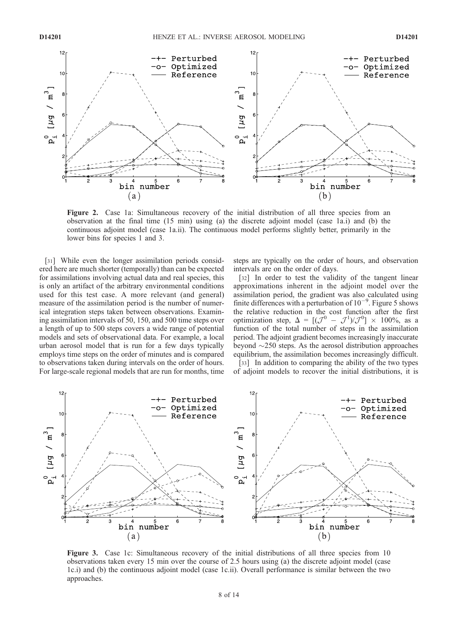

Figure 2. Case 1a: Simultaneous recovery of the initial distribution of all three species from an observation at the final time (15 min) using (a) the discrete adjoint model (case 1a.i) and (b) the continuous adjoint model (case 1a.ii). The continuous model performs slightly better, primarily in the lower bins for species 1 and 3.

[31] While even the longer assimilation periods considered here are much shorter (temporally) than can be expected for assimilations involving actual data and real species, this is only an artifact of the arbitrary environmental conditions used for this test case. A more relevant (and general) measure of the assimilation period is the number of numerical integration steps taken between observations. Examining assimilation intervals of 50, 150, and 500 time steps over a length of up to 500 steps covers a wide range of potential models and sets of observational data. For example, a local urban aerosol model that is run for a few days typically employs time steps on the order of minutes and is compared to observations taken during intervals on the order of hours. For large-scale regional models that are run for months, time

steps are typically on the order of hours, and observation intervals are on the order of days.

[32] In order to test the validity of the tangent linear approximations inherent in the adjoint model over the assimilation period, the gradient was also calculated using finite differences with a perturbation of  $10^{-9}$ . Figure 5 shows the relative reduction in the cost function after the first optimization step,  $\Delta = [(\mathcal{J}^0 - \mathcal{J}^1)/\mathcal{J}^0] \times 100\%$ , as a function of the total number of steps in the assimilation period. The adjoint gradient becomes increasingly inaccurate beyond  $\sim$ 250 steps. As the aerosol distribution approaches equilibrium, the assimilation becomes increasingly difficult.

[33] In addition to comparing the ability of the two types of adjoint models to recover the initial distributions, it is



Figure 3. Case 1c: Simultaneous recovery of the initial distributions of all three species from 10 observations taken every 15 min over the course of 2.5 hours using (a) the discrete adjoint model (case 1c.i) and (b) the continuous adjoint model (case 1c.ii). Overall performance is similar between the two approaches.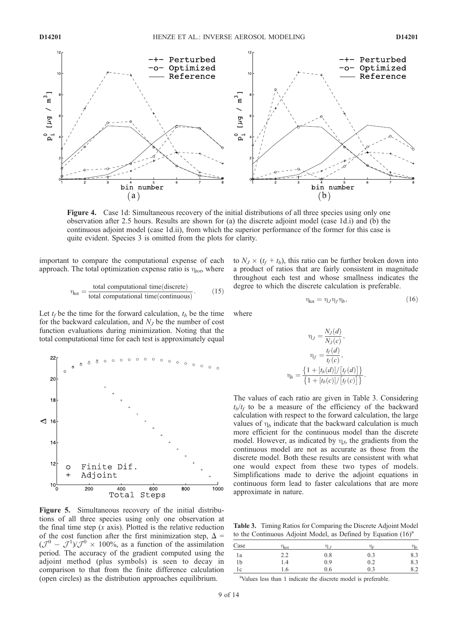

Figure 4. Case 1d: Simultaneous recovery of the initial distributions of all three species using only one observation after 2.5 hours. Results are shown for (a) the discrete adjoint model (case 1d.i) and (b) the continuous adjoint model (case 1d.ii), from which the superior performance of the former for this case is quite evident. Species 3 is omitted from the plots for clarity.

important to compare the computational expense of each approach. The total optimization expense ratio is  $\eta_{tot}$ , where

$$
\eta_{\text{tot}} = \frac{\text{total computational time}(\text{discrete})}{\text{total computational time}(\text{continuous})}.
$$
 (15)

Let  $t_f$  be the time for the forward calculation,  $t_b$  be the time for the backward calculation, and  $N_J$  be the number of cost function evaluations during minimization. Noting that the total computational time for each test is approximately equal



Figure 5. Simultaneous recovery of the initial distributions of all three species using only one observation at the final time step  $(x \text{ axis})$ . Plotted is the relative reduction of the cost function after the first minimization step,  $\Delta$  =  $(\mathcal{J}^0 - \mathcal{J}^1)/\mathcal{J}^0 \times 100\%$ , as a function of the assimilation period. The accuracy of the gradient computed using the adjoint method (plus symbols) is seen to decay in comparison to that from the finite difference calculation (open circles) as the distribution approaches equilibrium.

to  $N_J \times (t_f + t_b)$ , this ratio can be further broken down into a product of ratios that are fairly consistent in magnitude throughout each test and whose smallness indicates the degree to which the discrete calculation is preferable.

$$
\eta_{\text{tot}} = \eta_J \eta_f \eta_b,\tag{16}
$$

where

$$
\eta_J = \frac{N_J(d)}{N_J(c)},
$$

$$
\eta_f = \frac{t_f(d)}{t_f(c)},
$$

$$
\eta_b = \frac{\{1 + [t_b(d)]/[t_f(d)]\}}{\{1 + [t_b(c)]/[t_f(c)]\}}.
$$

The values of each ratio are given in Table 3. Considering  $t_b/t_f$  to be a measure of the efficiency of the backward calculation with respect to the forward calculation, the large values of  $\eta_b$  indicate that the backward calculation is much more efficient for the continuous model than the discrete model. However, as indicated by  $\eta_I$ , the gradients from the continuous model are not as accurate as those from the discrete model. Both these results are consistent with what one would expect from these two types of models. Simplifications made to derive the adjoint equations in continuous form lead to faster calculations that are more approximate in nature.

Table 3. Timing Ratios for Comparing the Discrete Adjoint Model to the Continuous Adjoint Model, as Defined by Equation  $(16)^{a}$ 

| Case | $\eta_{\text{tot}}$ |     |          | $\eta_b$                            |
|------|---------------------|-----|----------|-------------------------------------|
| 1a   | 2.2                 | 0.8 | 0.3      | 8.3                                 |
| 1b   | 1.4                 | 0.9 | 0.2      | 8.3                                 |
| 1c   | 1.6                 | 0.6 | $_{0.3}$ | oη<br>$\mathcal{O}$ . $\mathcal{L}$ |

<sup>a</sup>Values less than 1 indicate the discrete model is preferable.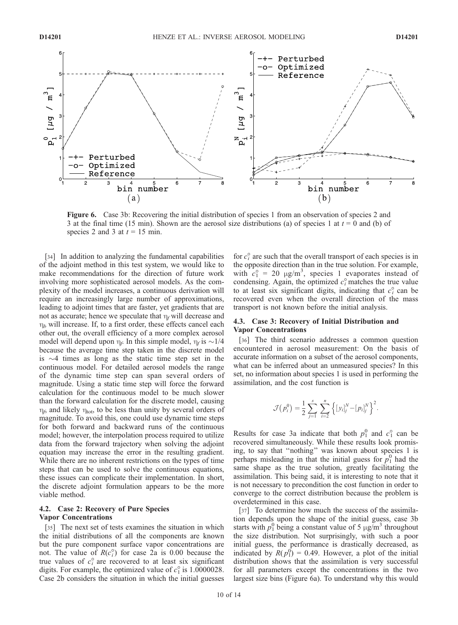

Figure 6. Case 3b: Recovering the initial distribution of species 1 from an observation of species 2 and 3 at the final time (15 min). Shown are the aerosol size distributions (a) of species 1 at  $t = 0$  and (b) of species 2 and 3 at  $t = 15$  min.

[34] In addition to analyzing the fundamental capabilities of the adjoint method in this test system, we would like to make recommendations for the direction of future work involving more sophisticated aerosol models. As the complexity of the model increases, a continuous derivation will require an increasingly large number of approximations, leading to adjoint times that are faster, yet gradients that are not as accurate; hence we speculate that  $\eta_f$  will decrease and  $\eta_b$  will increase. If, to a first order, these effects cancel each other out, the overall efficiency of a more complex aerosol model will depend upon  $\eta_f$ . In this simple model,  $\eta_f$  is  $\sim$ 1/4 because the average time step taken in the discrete model is  $\sim$ 4 times as long as the static time step set in the continuous model. For detailed aerosol models the range of the dynamic time step can span several orders of magnitude. Using a static time step will force the forward calculation for the continuous model to be much slower than the forward calculation for the discrete model, causing  $\eta_f$ , and likely  $\eta_{tot}$ , to be less than unity by several orders of magnitude. To avoid this, one could use dynamic time steps for both forward and backward runs of the continuous model; however, the interpolation process required to utilize data from the forward trajectory when solving the adjoint equation may increase the error in the resulting gradient. While there are no inherent restrictions on the types of time steps that can be used to solve the continuous equations, these issues can complicate their implementation. In short, the discrete adjoint formulation appears to be the more viable method.

## 4.2. Case 2: Recovery of Pure Species Vapor Concentrations

[35] The next set of tests examines the situation in which the initial distributions of all the components are known but the pure component surface vapor concentrations are not. The value of  $R(c_i^{\circ})$  for case 2a is 0.00 because the true values of  $c_i^{\circ}$  are recovered to at least six significant digits. For example, the optimized value of  $c_1^{\circ}$  is 1.0000028. Case 2b considers the situation in which the initial guesses for  $c_i^{\circ}$  are such that the overall transport of each species is in the opposite direction than in the true solution. For example, with  $c_1^2 = 20$   $\mu$ g/m<sup>3</sup>, species 1 evaporates instead of condensing. Again, the optimized  $c_i^{\circ}$  matches the true value to at least six significant digits, indicating that  $c_i^{\circ}$  can be recovered even when the overall direction of the mass transport is not known before the initial analysis.

## 4.3. Case 3: Recovery of Initial Distribution and Vapor Concentrations

[36] The third scenario addresses a common question encountered in aerosol measurement: On the basis of accurate information on a subset of the aerosol components, what can be inferred about an unmeasured species? In this set, no information about species 1 is used in performing the assimilation, and the cost function is

$$
\mathcal{J}(p_i^0) = \frac{1}{2} \sum_{j=1}^s \sum_{i=2}^n \left\{ [y_i]_j^N - [p_i]_j^N \right\}^2.
$$

Results for case 3a indicate that both  $p_1^0$  and  $c_1^0$  can be recovered simultaneously. While these results look promising, to say that ''nothing'' was known about species 1 is perhaps misleading in that the initial guess for  $p_1^0$  had the same shape as the true solution, greatly facilitating the assimilation. This being said, it is interesting to note that it is not necessary to precondition the cost function in order to converge to the correct distribution because the problem is overdetermined in this case.

[37] To determine how much the success of the assimilation depends upon the shape of the initial guess, case 3b starts with  $p_1^0$  being a constant value of 5  $\mu$ g/m<sup>3</sup> throughout the size distribution. Not surprisingly, with such a poor initial guess, the performance is drastically decreased, as indicated by  $R(p_1^0) = 0.49$ . However, a plot of the initial distribution shows that the assimilation is very successful for all parameters except the concentrations in the two largest size bins (Figure 6a). To understand why this would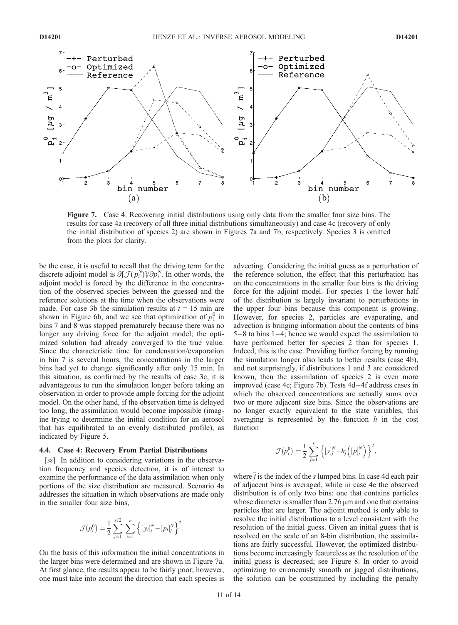

Figure 7. Case 4: Recovering initial distributions using only data from the smaller four size bins. The results for case 4a (recovery of all three initial distributions simultaneously) and case 4c (recovery of only the initial distribution of species 2) are shown in Figures 7a and 7b, respectively. Species 3 is omitted from the plots for clarity.

be the case, it is useful to recall that the driving term for the discrete adjoint model is  $\partial[\mathcal{J}(p_i^N)]/\partial p_i^N$ . In other words, the adjoint model is forced by the difference in the concentration of the observed species between the guessed and the reference solutions at the time when the observations were made. For case 3b the simulation results at  $t = 15$  min are shown in Figure 6b, and we see that optimization of  $p_1^0$  in bins 7 and 8 was stopped prematurely because there was no longer any driving force for the adjoint model; the optimized solution had already converged to the true value. Since the characteristic time for condensation/evaporation in bin 7 is several hours, the concentrations in the larger bins had yet to change significantly after only 15 min. In this situation, as confirmed by the results of case 3c, it is advantageous to run the simulation longer before taking an observation in order to provide ample forcing for the adjoint model. On the other hand, if the observation time is delayed too long, the assimilation would become impossible (imagine trying to determine the initial condition for an aerosol that has equilibrated to an evenly distributed profile), as indicated by Figure 5.

# 4.4. Case 4: Recovery From Partial Distributions

[38] In addition to considering variations in the observation frequency and species detection, it is of interest to examine the performance of the data assimilation when only portions of the size distribution are measured. Scenario 4a addresses the situation in which observations are made only in the smaller four size bins,

$$
\mathcal{J}(p_i^0) = \frac{1}{2} \sum_{j=1}^{s/2} \sum_{i=1}^n \left\{ [y_i]_{j}^{N} - [p_i]_{j}^{N} \right\}^2.
$$

On the basis of this information the initial concentrations in the larger bins were determined and are shown in Figure 7a. At first glance, the results appear to be fairly poor; however, one must take into account the direction that each species is

advecting. Considering the initial guess as a perturbation of the reference solution, the effect that this perturbation has on the concentrations in the smaller four bins is the driving force for the adjoint model. For species 1 the lower half of the distribution is largely invariant to perturbations in the upper four bins because this component is growing. However, for species 2, particles are evaporating, and advection is bringing information about the contents of bins  $5-8$  to bins  $1-4$ ; hence we would expect the assimilation to have performed better for species 2 than for species 1. Indeed, this is the case. Providing further forcing by running the simulation longer also leads to better results (case 4b), and not surprisingly, if distributions 1 and 3 are considered known, then the assimilation of species 2 is even more improved (case 4c; Figure 7b). Tests 4d –4f address cases in which the observed concentrations are actually sums over two or more adjacent size bins. Since the observations are no longer exactly equivalent to the state variables, this averaging is represented by the function  $h$  in the cost function

$$
\mathcal{J}(p_i^0) = \frac{1}{2} \sum_{j=1}^{\bar{s}} \left\{ \left[ y_j^N - h_{\bar{j}} \left( \left[ p_j^N \right] \right)^2 \right\}^2,
$$

where  $\bar{j}$  is the index of the  $\bar{s}$  lumped bins. In case 4d each pair of adjacent bins is averaged, while in case 4e the observed distribution is of only two bins: one that contains particles whose diameter is smaller than  $2.76 \mu m$  and one that contains particles that are larger. The adjoint method is only able to resolve the initial distributions to a level consistent with the resolution of the initial guess. Given an initial guess that is resolved on the scale of an 8-bin distribution, the assimilations are fairly successful. However, the optimized distributions become increasingly featureless as the resolution of the initial guess is decreased; see Figure 8. In order to avoid optimizing to erroneously smooth or jagged distributions, the solution can be constrained by including the penalty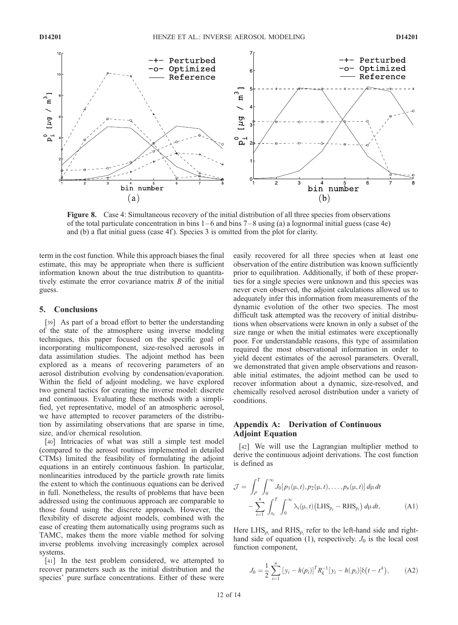

Figure 8. Case 4: Simultaneous recovery of the initial distribution of all three species from observations of the total particulate concentration in bins  $1-6$  and bins  $7-8$  using (a) a lognormal initial guess (case 4e) and (b) a flat initial guess (case 4f ). Species 3 is omitted from the plot for clarity.

term in the cost function. While this approach biases the final estimate, this may be appropriate when there is sufficient information known about the true distribution to quantitatively estimate the error covariance matrix  $B$  of the initial guess.

#### 5. Conclusions

[39] As part of a broad effort to better the understanding of the state of the atmosphere using inverse modeling techniques, this paper focused on the specific goal of incorporating multicomponent, size-resolved aerosols in data assimilation studies. The adjoint method has been explored as a means of recovering parameters of an aerosol distribution evolving by condensation/evaporation. Within the field of adjoint modeling, we have explored two general tactics for creating the inverse model: discrete and continuous. Evaluating these methods with a simplified, yet representative, model of an atmospheric aerosol, we have attempted to recover parameters of the distribution by assimilating observations that are sparse in time, size, and/or chemical resolution.

[40] Intricacies of what was still a simple test model (compared to the aerosol routines implemented in detailed CTMs) limited the feasibility of formulating the adjoint equations in an entirely continuous fashion. In particular, nonlinearities introduced by the particle growth rate limits the extent to which the continuous equations can be derived in full. Nonetheless, the results of problems that have been addressed using the continuous approach are comparable to those found using the discrete approach. However, the flexibility of discrete adjoint models, combined with the ease of creating them automatically using programs such as TAMC, makes them the more viable method for solving inverse problems involving increasingly complex aerosol systems.

[41] In the test problem considered, we attempted to recover parameters such as the initial distribution and the species' pure surface concentrations. Either of these were

easily recovered for all three species when at least one observation of the entire distribution was known sufficiently prior to equilibration. Additionally, if both of these properties for a single species were unknown and this species was never even observed, the adjoint calculations allowed us to adequately infer this information from measurements of the dynamic evolution of the other two species. The most difficult task attempted was the recovery of initial distributions when observations were known in only a subset of the size range or when the initial estimates were exceptionally poor. For understandable reasons, this type of assimilation required the most observational information in order to yield decent estimates of the aerosol parameters. Overall, we demonstrated that given ample observations and reasonable initial estimates, the adjoint method can be used to recover information about a dynamic, size-resolved, and chemically resolved aerosol distribution under a variety of conditions.

# Appendix A: Derivation of Continuous Adjoint Equation

[42] We will use the Lagrangian multiplier method to derive the continuous adjoint derivations. The cost function is defined as

$$
\mathcal{J} = \int_{t^0}^T \int_0^\infty J_0[p_1(\mu, t), p_2(\mu, t), \dots, p_n(\mu, t)] d\mu dt
$$

$$
- \sum_{i=1}^n \int_{t_0}^T \int_0^\infty \lambda_i(\mu, t) (\text{LHS}_{p_i} - \text{RHS}_{p_i}) d\mu dt, \tag{A1}
$$

Here  $LHS_p$  and  $RHS_p$  refer to the left-hand side and righthand side of equation (1), respectively.  $J_0$  is the local cost function component,

$$
J_0 = \frac{1}{2} \sum_{i=1}^{n} [y_i - h(p_i)]^T R_k^{-1} [y_i - h(p_i)] \delta(t - t^k), \quad (A2)
$$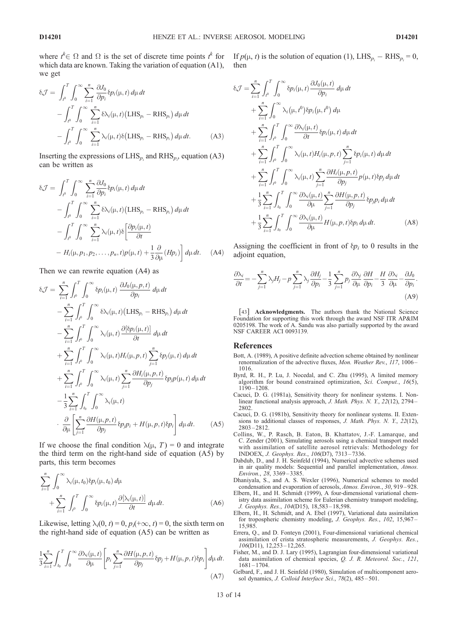where  $t^k \in \Omega$  and  $\Omega$  is the set of discrete time points  $t^k$  for which data are known. Taking the variation of equation (A1), we get

$$
\delta \mathcal{J} = \int_{t^0}^T \int_0^\infty \sum_{i=1}^n \frac{\partial J_0}{\partial p_i} \delta p_i(\mu, t) d\mu dt \n- \int_{t^0}^T \int_0^\infty \sum_{i=1}^n \delta \lambda_i(\mu, t) (\text{LHS}_{p_i} - \text{RHS}_{p_i}) d\mu dt \n- \int_{t^0}^T \int_0^\infty \sum_{i=1}^n \lambda_i(\mu, t) \delta (\text{LHS}_{p_i} - \text{RHS}_{p_i}) d\mu dt.
$$
\n(A3)

Inserting the expressions of  $LHS_{p_i}$  and  $RHS_{p_i}$ , equation (A3) can be written as

$$
\delta \mathcal{J} = \int_{t^0}^T \int_0^\infty \sum_{i=1}^n \frac{\partial J_0}{\partial p_i} \delta p_i(\mu, t) d\mu dt \n- \int_{t^0}^T \int_0^\infty \sum_{i=1}^n \delta \lambda_i(\mu, t) (\text{LHS}_{p_i} - \text{RHS}_{p_i}) d\mu dt \n- \int_{t^0}^T \int_0^\infty \sum_{i=1}^n \lambda_i(\mu, t) \delta \left[ \frac{\partial p_i(\mu, t)}{\partial t} \right. \n- H_i(\mu, p_1, p_2, \dots, p_n, t) p(\mu, t) + \frac{1}{3} \frac{\partial}{\partial \mu} (H p_i) \right] d\mu dt. \quad (A4)
$$

Then we can rewrite equation (A4) as

$$
\delta \mathcal{J} = \sum_{i=1}^{n} \int_{t^0}^T \int_0^{\infty} \delta p_i(\mu, t) \frac{\partial J_0(\mu, p, t)}{\partial p_i} d\mu dt \n- \sum_{i=1}^{n} \int_{t^0}^T \int_0^{\infty} \delta \lambda_i(\mu, t) (\text{LHS}_{p_i} - \text{RHS}_{p_i}) d\mu dt \n- \sum_{i=1}^{n} \int_{t^0}^T \int_0^{\infty} \lambda_i(\mu, t) \frac{\partial [\delta p_i(\mu, t)]}{\partial t} d\mu dt \n+ \sum_{i=1}^{n} \int_{t^0}^T \int_0^{\infty} \lambda_i(\mu, t) H_i(\mu, p, t) \sum_{j=1}^{n} \delta p_j(\mu, t) d\mu dt \n+ \sum_{i=1}^{n} \int_{t^0}^T \int_0^{\infty} \lambda_i(\mu, t) \sum_{j=1}^{n} \frac{\partial H_i(\mu, p, t)}{\partial p_j} \delta p_j p(\mu, t) d\mu dt \n- \frac{1}{3} \sum_{i=1}^{n} \int_{t_0}^T \int_0^{\infty} \lambda_i(\mu, t) \n+ \frac{\partial}{\partial \mu} \left[ \sum_{j=1}^{n} \frac{\partial H(\mu, p, t)}{\partial p_j} \delta p_j p_i + H(\mu, p, t) \delta p_i \right] d\mu dt. \tag{A5}
$$

If we choose the final condition  $\lambda(\mu, T) = 0$  and integrate the third term on the right-hand side of equation (A5) by parts, this term becomes

$$
\sum_{i=1}^{n} \int_{0}^{\infty} \lambda_{i}(\mu, t_{0}) \delta p_{i}(\mu, t_{0}) d\mu + \sum_{i=1}^{n} \int_{t^{0}}^{T} \int_{0}^{\infty} \delta p_{i}(\mu, t) \frac{\partial [\lambda_{i}(\mu, t)]}{\partial t} d\mu dt.
$$
 (A6)

Likewise, letting  $\lambda_i(0, t) = 0$ ,  $p_i(+\infty, t) = 0$ , the sixth term on the right-hand side of equation (A5) can be written as

$$
\frac{1}{3} \sum_{i=1}^{n} \int_{t_0}^{T} \int_0^{\infty} \frac{\partial \lambda_i(\mu, t)}{\partial \mu} \left[ p_i \sum_{j=1}^{n} \frac{\partial H(\mu, p, t)}{\partial p_j} \delta p_j + H(\mu, p, t) \delta p_i \right] d\mu dt.
$$
\n(A7)

If  $p(\mu, t)$  is the solution of equation (1), LHS<sub>p<sub>i</sub></sub> – RHS<sub>p<sub>i</sub></sub> = 0, then

$$
\delta \mathcal{J} = \sum_{i=1}^{n} \int_{t^0}^T \int_0^\infty \delta p_i(\mu, t) \frac{\partial J_0(\mu, t)}{\partial p_i} d\mu dt \n+ \sum_{i=1}^{n} \int_0^\infty \lambda_i(\mu, t^0) \delta p_i(\mu, t^0) d\mu \n+ \sum_{i=1}^{n} \int_{t^0}^T \int_0^\infty \frac{\partial \lambda_i(\mu, t)}{\partial t} \delta p_i(\mu, t) d\mu dt \n+ \sum_{i=1}^{n} \int_{t^0}^T \int_0^\infty \lambda_i(\mu, t) H_i(\mu, p, t) \sum_{j=1}^{n} \delta p_i(\mu, t) d\mu dt \n+ \sum_{i=1}^{n} \int_{t^0}^T \int_0^\infty \lambda_i(\mu, t) \sum_{j=1}^{n} \frac{\partial H_i(\mu, p, t)}{\partial p_j} p(\mu, t) \delta p_j d\mu dt \n+ \frac{1}{3} \sum_{i=1}^{n} \int_{t_0}^T \int_0^\infty \frac{\partial \lambda_i(\mu, t)}{\partial \mu} \sum_{j=1}^{n} \frac{\partial H(\mu, p, t)}{\partial p_j} \delta p_j p_i d\mu dt \n+ \frac{1}{3} \sum_{i=1}^{n} \int_{t_0}^T \int_0^\infty \frac{\partial \lambda_i(\mu, t)}{\partial \mu} H(\mu, p, t) \delta p_i d\mu dt.
$$
 (A8)

Assigning the coefficient in front of  $\delta p_i$  to 0 results in the adjoint equation,

$$
\frac{\partial \lambda_i}{\partial t} = -\sum_{j=1}^n \lambda_j H_j - p \sum_{j=1}^n \lambda_j \frac{\partial H_j}{\partial p_i} - \frac{1}{3} \sum_{j=1}^n p_j \frac{\partial \lambda_j}{\partial \mu} \frac{\partial H}{\partial p_i} - \frac{H}{3} \frac{\partial \lambda_i}{\partial \mu} - \frac{\partial J_0}{\partial p_i}.
$$
\n(A9)

[43] Acknowledgments. The authors thank the National Science Foundation for supporting this work through the award NSF ITR AP&IM 0205198. The work of A. Sandu was also partially supported by the award NSF CAREER ACI 0093139.

## References

- Bott, A. (1989), A positive definite advection scheme obtained by nonlinear renormalization of the advective fluxes, Mon. Weather Rev., 117, 1006-1016.
- Byrd, R. H., P. Lu, J. Nocedal, and C. Zhu (1995), A limited memory algorithm for bound constrained optimization, Sci. Comput., 16(5), 1190 – 1208.
- Cacuci, D. G. (1981a), Sensitivity theory for nonlinear systems. I. Nonlinear functional analysis approach, J. Math. Phys. N. Y., 22(12), 2794 – 2802.
- Cacuci, D. G. (1981b), Sensitivity theory for nonlinear systems. II. Extensions to additional classes of responses, J. Math. Phys. N. Y., 22(12), 2803 – 2812.
- Collins, W., P. Rasch, B. Eaton, B. Khattatov, J.-F. Lamarque, and C. Zender (2001), Simulating aerosols using a chemical transport model with assimilation of satellite aerosol retrievals: Methodology for INDOEX, J. Geophys. Res., 106(D7), 7313 – 7336.
- Dabdub, D., and J. H. Seinfeld (1994), Numerical advective schemes used in air quality models: Sequential and parallel implementation, Atmos. Environ., 28, 3369 – 3385.
- Dhaniyala, S., and A. S. Wexler (1996), Numerical schemes to model condensation and evaporation of aerosols, Atmos. Environ., 30, 919 – 928.
- Elbern, H., and H. Schmidt (1999), A four-dimensional variational chemistry data assimilation scheme for Eulerian chemistry transport modeling, J. Geophys. Res., 104(D15), 18,583 – 18,598.
- Elbern, H., H. Schmidt, and A. Ebel (1997), Variational data assimilation for tropospheric chemistry modeling, J. Geophys. Res., 102, 15,967-15,985.
- Errera, Q., and D. Fonteyn (2001), Four-dimensional variational chemical assimilation of crista stratospheric measurements, J. Geophys. Res., 106(D11), 12,253 – 12,265.
- Fisher, M., and D. J. Lary (1995), Lagrangian four-dimensional variational data assimilation of chemical species, Q. J. R. Meteorol. Soc., 121, 1681 – 1704.
- Gelbard, F., and J. H. Seinfeld (1980), Simulation of multicomponent aerosol dynamics, J. Colloid Interface Sci., 78(2), 485-501.